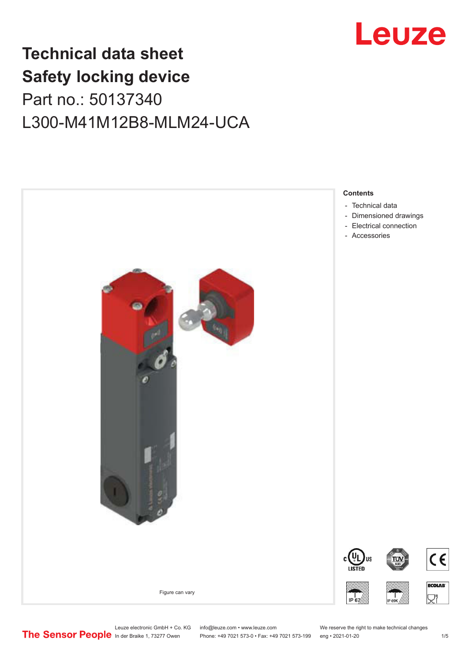

## **Technical data sheet Safety locking device** Part no.: 50137340 L300-M41M12B8-MLM24-UCA



Leuze electronic GmbH + Co. KG info@leuze.com • www.leuze.com We reserve the right to make technical changes<br>
The Sensor People in der Braike 1, 73277 Owen Phone: +49 7021 573-0 • Fax: +49 7021 573-199 eng • 2021-01-20

Phone: +49 7021 573-0 • Fax: +49 7021 573-199 eng • 2021-01-20 1 /5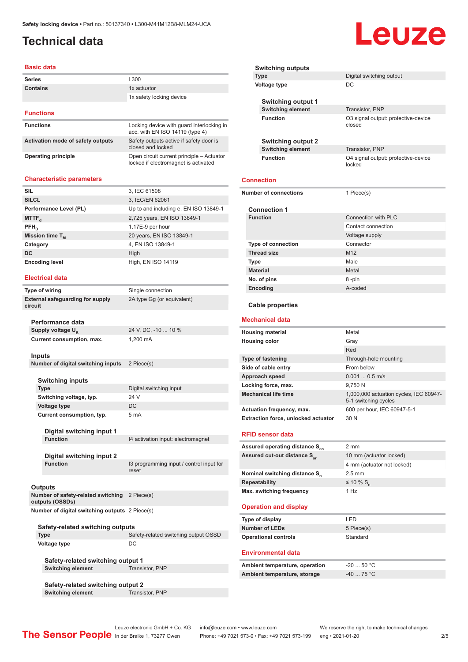## <span id="page-1-0"></span>**Technical data**

#### **Basic data**

| <b>Series</b>                     | L300                                                                         |
|-----------------------------------|------------------------------------------------------------------------------|
| <b>Contains</b>                   | 1x actuator                                                                  |
|                                   | 1x safety locking device                                                     |
| <b>Functions</b>                  |                                                                              |
|                                   |                                                                              |
| <b>Functions</b>                  | Locking device with quard interlocking in<br>acc. with EN ISO 14119 (type 4) |
| Activation mode of safety outputs | Safety outputs active if safety door is<br>closed and locked                 |

locked if electromagnet is activated

**Operating principle Conservation Comparent Conservation Conservation Conservation Conservation Conservation Conservation Conservation Conservation Conservation Conservation Conservation Conservation Conservation Conserv** 

#### **Characteristic parameters**

| <b>SIL</b>             | 3, IEC 61508                          |
|------------------------|---------------------------------------|
| <b>SILCL</b>           | 3, IEC/EN 62061                       |
| Performance Level (PL) | Up to and including e, EN ISO 13849-1 |
| MTTF <sub>d</sub>      | 2,725 years, EN ISO 13849-1           |
| $PFH_{n}$              | 1.17E-9 per hour                      |
| Mission time $T_{M}$   | 20 years, EN ISO 13849-1              |
| Category               | 4, EN ISO 13849-1                     |
| DC                     | High                                  |
| <b>Encoding level</b>  | High, EN ISO 14119                    |

**Single connection** 

2A type Gg (or equivalent)

24 V, DC, -10 ... 10 %

**I3 programming input / control input for** 

#### **Electrical data**

| Type of wiring                                     |  |
|----------------------------------------------------|--|
| <b>External safeguarding for supply</b><br>circuit |  |

**Performance data** Supply voltage U<sub>B</sub> **Current consumption, max.** 1,200 mA

**Inputs**

| Number of digital switching inputs 2 Piece(s) |  |
|-----------------------------------------------|--|

| the control of the control of the control of the control of the control of the control of the control of the control of the control of the control of the control of the control of the control of the control of the control |  |  |
|-------------------------------------------------------------------------------------------------------------------------------------------------------------------------------------------------------------------------------|--|--|
|                                                                                                                                                                                                                               |  |  |
|                                                                                                                                                                                                                               |  |  |
|                                                                                                                                                                                                                               |  |  |
|                                                                                                                                                                                                                               |  |  |
|                                                                                                                                                                                                                               |  |  |
|                                                                                                                                                                                                                               |  |  |
|                                                                                                                                                                                                                               |  |  |

| <b>Switching inputs</b>   |                         |
|---------------------------|-------------------------|
| <b>Type</b>               | Digital switching input |
| Switching voltage, typ.   | 24 V                    |
| Voltage type              | DC.                     |
| Current consumption, typ. | 5 <sub>m</sub> A        |

**Digital switching input 1 Function** I4 activation input: electromagnet

**Digital switching input 2**

## **Outputs**

| --------                                       |  |
|------------------------------------------------|--|
| Number of safety-related switching 2 Piece(s)  |  |
| outputs (OSSDs)                                |  |
| Number of digital switching outputs 2 Piece(s) |  |

| Safety-related switching outputs |                                      |  |
|----------------------------------|--------------------------------------|--|
| Type                             | Safety-related switching output OSSD |  |
| Voltage type                     | DC.                                  |  |
|                                  |                                      |  |

reset

**Safety-related switching output 1 Switching element** Transistor, PNP

**Safety-related switching output 2 Switching element** Transistor, PNP

| <b>Switching outputs</b>     |                                               |
|------------------------------|-----------------------------------------------|
| <b>Type</b>                  | Digital switching output                      |
| Voltage type                 | DC                                            |
| Switching output 1           |                                               |
| <b>Switching element</b>     | Transistor, PNP                               |
| <b>Function</b>              | O3 signal output: protective-device<br>closed |
| <b>Switching output 2</b>    |                                               |
| <b>Switching element</b>     | Transistor, PNP                               |
| <b>Function</b>              | O4 signal output: protective-device<br>locked |
| <b>Connection</b>            |                                               |
| <b>Number of connections</b> | 1 Piece(s)                                    |
|                              |                                               |
| <b>Connection 1</b>          |                                               |
| <b>Function</b>              | Connection with PLC                           |
|                              | Contact connection                            |
|                              | Voltage supply                                |
| Type of connection           | Connector                                     |
| <b>Thread size</b>           | M <sub>12</sub>                               |
| <b>Type</b>                  | Male                                          |
| <b>Material</b>              | Metal                                         |
| No. of pins                  | 8-pin                                         |
| Encoding                     | A-coded                                       |
| <b>Cable properties</b>      |                                               |
|                              |                                               |
| <b>Mechanical data</b>       |                                               |
| <b>Housing material</b>      | Metal                                         |
| <b>Housing color</b>         | Gray                                          |
|                              | Red                                           |
| <b>Type of fastening</b>     | Through-hole mounting                         |
| Side of cable entry          | From below                                    |
| Approach speed               | $0.0010.5$ m/s                                |
| Locking force, max.          | 9.750 N                                       |

Actuation frequency, max. 600 per hour, IEC 60947-5-1 **Extraction force, unlocked actuator** 30 N

**RFID sensor data**

| Assured operating distance S <sub>ao</sub> | 2 mm                       |
|--------------------------------------------|----------------------------|
| Assured cut-out distance S <sub>3</sub>    | 10 mm (actuator locked)    |
|                                            | 4 mm (actuator not locked) |
| Nominal switching distance S <sub>n</sub>  | $2.5 \text{ mm}$           |
| <b>Repeatability</b>                       | $\leq$ 10 % S <sub>n</sub> |
| Max. switching frequency                   | 1 Hz                       |

**Mechanical life time** 1,000,000 actuation cycles, IEC 60947-

5-1 switching cycles

#### **Operation and display**

| Type of display             | I FD.      |
|-----------------------------|------------|
| Number of LEDs              | 5 Piece(s) |
| <b>Operational controls</b> | Standard   |

#### **Environmental data**

| Ambient temperature, operation | -20  50 °C                   |
|--------------------------------|------------------------------|
| Ambient temperature, storage   | $-40$ 75 $^{\circ}$ C $^{-}$ |

## Leuze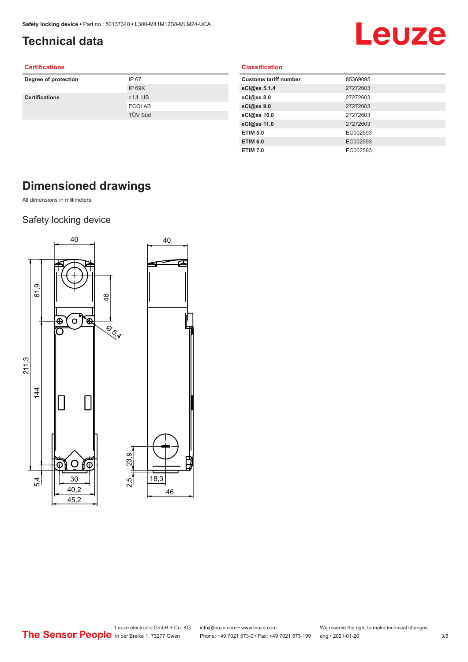## <span id="page-2-0"></span>**Technical data**

# Leuze

#### **Certifications**

| Degree of protection  | IP 67          |
|-----------------------|----------------|
|                       | IP 69K         |
| <b>Certifications</b> | c UL US        |
|                       | <b>ECOLAB</b>  |
|                       | <b>TÜV Süd</b> |
|                       |                |

#### **Classification**

| <b>Customs tariff number</b> | 85369095 |
|------------------------------|----------|
| eCl@ss 5.1.4                 | 27272603 |
| eCl@ss 8.0                   | 27272603 |
| eCl@ss 9.0                   | 27272603 |
| eCl@ss 10.0                  | 27272603 |
| eCl@ss 11.0                  | 27272603 |
| <b>ETIM 5.0</b>              | EC002593 |
| <b>ETIM 6.0</b>              | EC002593 |
| <b>ETIM 7.0</b>              | EC002593 |
|                              |          |

## **Dimensioned drawings**

All dimensions in millimeters

### Safety locking device

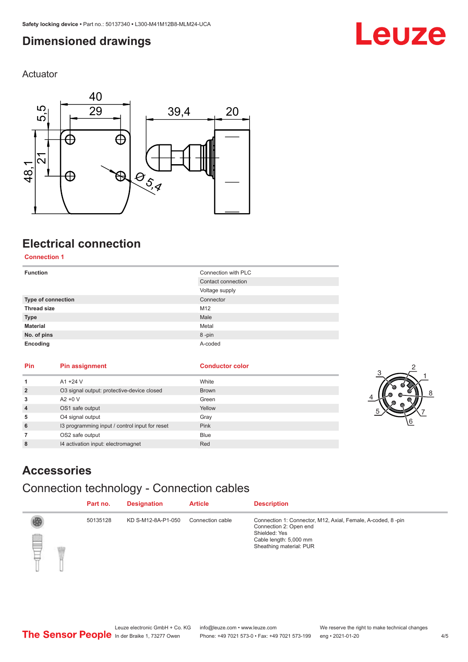## <span id="page-3-0"></span>**Dimensioned drawings**

Actuator



## **Electrical connection**

**Connection 1**

| <b>Function</b>    | Connection with PLC |
|--------------------|---------------------|
|                    | Contact connection  |
|                    | Voltage supply      |
| Type of connection | Connector           |
| <b>Thread size</b> | M12                 |
| <b>Type</b>        | Male                |
| <b>Material</b>    | Metal               |
| No. of pins        | 8-pin               |
| Encoding           | A-coded             |

| Pin            | <b>Pin assignment</b>                          | <b>Conductor color</b> |
|----------------|------------------------------------------------|------------------------|
| 1              | $A1 + 24V$                                     | White                  |
| $\overline{2}$ | O3 signal output: protective-device closed     | <b>Brown</b>           |
| 3              | $A2 + 0V$                                      | Green                  |
| $\overline{4}$ | OS1 safe output                                | Yellow                 |
| 5              | O4 signal output                               | Gray                   |
| 6              | 13 programming input / control input for reset | Pink                   |
| $\overline{7}$ | OS2 safe output                                | <b>Blue</b>            |
| 8              | 14 activation input: electromagnet             | Red                    |



Leuze

## **Accessories**

## Connection technology - Connection cables

|   | Part no. | <b>Designation</b> | <b>Article</b>   | <b>Description</b>                                                                                                                                          |
|---|----------|--------------------|------------------|-------------------------------------------------------------------------------------------------------------------------------------------------------------|
| ₿ | 50135128 | KD S-M12-8A-P1-050 | Connection cable | Connection 1: Connector, M12, Axial, Female, A-coded, 8-pin<br>Connection 2: Open end<br>Shielded: Yes<br>Cable length: 5,000 mm<br>Sheathing material: PUR |